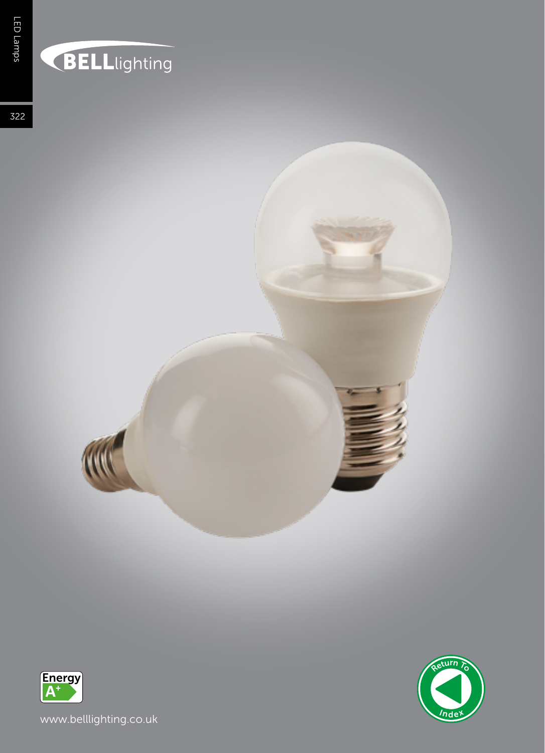## **BELL**lighting

322







www.belllighting.co.uk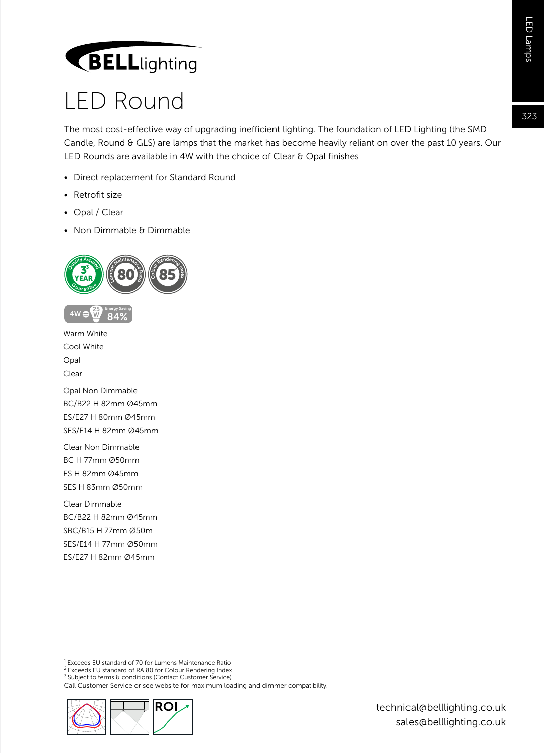## **BELL**lighting

### LED Round

The most cost-effective way of upgrading inefficient lighting. The foundation of LED Lighting (the SMD Candle, Round & GLS) are lamps that the market has become heavily reliant on over the past 10 years. Our LED Rounds are available in 4W with the choice of Clear & Opal finishes

- Direct replacement for Standard Round
- Retrofit size
- Opal / Clear

 $4W6$ W

• Non Dimmable & Dimmable



Warm White Cool White Opal Clear Opal Non Dimmable BC/B22 H 82mm Ø45mm ES/E27 H 80mm Ø45mm SES/E14 H 82mm Ø45mm Clear Non Dimmable BC H 77mm Ø50mm

ES H 82mm Ø45mm SES H 83mm Ø50mm

Clear Dimmable BC/B22 H 82mm Ø45mm SBC/B15 H 77mm Ø50m SES/E14 H 77mm Ø50mm ES/E27 H 82mm Ø45mm

1 Exceeds EU standard of 70 for Lumens Maintenance Ratio

2 Exceeds EU standard of RA 80 for Colour Rendering Index

3 Subject to terms & conditions (Contact Customer Service)

Call Customer Service or see website for maximum loading and dimmer compatibility.



technical@belllighting.co.uk sales@belllighting.co.uk 323